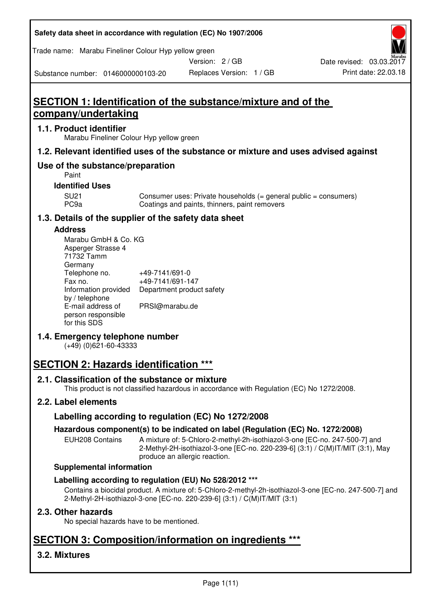| Safety data sheet in accordance with regulation (EC) No 1907/2006 |  |
|-------------------------------------------------------------------|--|
|-------------------------------------------------------------------|--|

Trade name: Marabu Fineliner Colour Hyp yellow green

Version: 2 / GB

Replaces Version: 1 / GB Print date: 22.03.18 Date revised: 03.03.2017

Substance number: 0146000000103-20

# **SECTION 1: Identification of the substance/mixture and of the company/undertaking**

## **1.1. Product identifier**

Marabu Fineliner Colour Hyp yellow green

## **1.2. Relevant identified uses of the substance or mixture and uses advised against**

## **Use of the substance/preparation**

Paint

## **Identified Uses**

SU21 Consumer uses: Private households (= general public = consumers)<br>PC9a Coatings and paints, thinners, paint removers Coatings and paints, thinners, paint removers

## **1.3. Details of the supplier of the safety data sheet**

## **Address**

| Marabu GmbH & Co. KG |                           |
|----------------------|---------------------------|
| Asperger Strasse 4   |                           |
| 71732 Tamm           |                           |
| Germany              |                           |
| Telephone no.        | +49-7141/691-0            |
| Fax no.              | +49-7141/691-147          |
| Information provided | Department product safety |
| by / telephone       |                           |
| E-mail address of    | PRSI@marabu.de            |
| person responsible   |                           |
| for this SDS         |                           |

## **1.4. Emergency telephone number**

(+49) (0)621-60-43333

# **SECTION 2: Hazards identification \*\*\***

## **2.1. Classification of the substance or mixture**

This product is not classified hazardous in accordance with Regulation (EC) No 1272/2008.

## **2.2. Label elements**

## **Labelling according to regulation (EC) No 1272/2008**

## **Hazardous component(s) to be indicated on label (Regulation (EC) No. 1272/2008)**

EUH208 Contains A mixture of: 5-Chloro-2-methyl-2h-isothiazol-3-one [EC-no. 247-500-7] and 2-Methyl-2H-isothiazol-3-one [EC-no. 220-239-6] (3:1) / C(M)IT/MIT (3:1), May produce an allergic reaction.

#### **Supplemental information**

## **Labelling according to regulation (EU) No 528/2012 \*\*\***

Contains a biocidal product. A mixture of: 5-Chloro-2-methyl-2h-isothiazol-3-one [EC-no. 247-500-7] and 2-Methyl-2H-isothiazol-3-one [EC-no. 220-239-6] (3:1) / C(M)IT/MIT (3:1)

## **2.3. Other hazards**

No special hazards have to be mentioned.

# **SECTION 3: Composition/information on ingredients \*\*\***

## **3.2. Mixtures**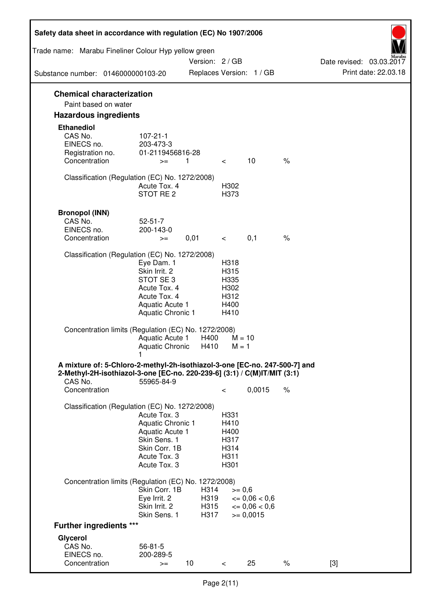| Safety data sheet in accordance with regulation (EC) No 1907/2006                                                                                                                  |                                                                                                                        |                              |                                                      |                                                                  |      |                                                  |
|------------------------------------------------------------------------------------------------------------------------------------------------------------------------------------|------------------------------------------------------------------------------------------------------------------------|------------------------------|------------------------------------------------------|------------------------------------------------------------------|------|--------------------------------------------------|
| Trade name: Marabu Fineliner Colour Hyp yellow green                                                                                                                               |                                                                                                                        | Version: 2/GB                |                                                      |                                                                  |      |                                                  |
| Substance number: 0146000000103-20                                                                                                                                                 |                                                                                                                        |                              |                                                      | Replaces Version: 1 / GB                                         |      | Date revised: 03.03.2017<br>Print date: 22.03.18 |
| <b>Chemical characterization</b><br>Paint based on water                                                                                                                           |                                                                                                                        |                              |                                                      |                                                                  |      |                                                  |
| <b>Hazardous ingredients</b>                                                                                                                                                       |                                                                                                                        |                              |                                                      |                                                                  |      |                                                  |
| <b>Ethanediol</b><br>CAS No.<br>EINECS no.<br>Registration no.<br>Concentration                                                                                                    | $107 - 21 - 1$<br>203-473-3<br>01-2119456816-28<br>$>=$                                                                | $\mathbf{1}$                 | $\lt$                                                | 10                                                               | $\%$ |                                                  |
| Classification (Regulation (EC) No. 1272/2008)                                                                                                                                     | Acute Tox. 4<br>STOT RE <sub>2</sub>                                                                                   |                              | H302<br>H373                                         |                                                                  |      |                                                  |
| <b>Bronopol (INN)</b><br>CAS No.<br>EINECS no.<br>Concentration                                                                                                                    | $52 - 51 - 7$<br>200-143-0<br>$>=$                                                                                     | 0,01                         | $\lt$                                                | 0,1                                                              | $\%$ |                                                  |
| Classification (Regulation (EC) No. 1272/2008)                                                                                                                                     | Eye Dam. 1<br>Skin Irrit. 2<br>STOT SE3<br>Acute Tox. 4<br>Acute Tox. 4<br>Aquatic Acute 1<br><b>Aquatic Chronic 1</b> |                              | H318<br>H315<br>H335<br>H302<br>H312<br>H400<br>H410 |                                                                  |      |                                                  |
| Concentration limits (Regulation (EC) No. 1272/2008)                                                                                                                               | Aquatic Acute 1<br><b>Aquatic Chronic</b>                                                                              | H400<br>H410                 | $M = 10$<br>$M = 1$                                  |                                                                  |      |                                                  |
| A mixture of: 5-Chloro-2-methyl-2h-isothiazol-3-one [EC-no. 247-500-7] and<br>2-Methyl-2H-isothiazol-3-one [EC-no. 220-239-6] (3:1) / C(M)IT/MIT (3:1)<br>CAS No.<br>Concentration | 55965-84-9                                                                                                             |                              |                                                      |                                                                  |      |                                                  |
|                                                                                                                                                                                    |                                                                                                                        |                              | $\,<\,$                                              | 0,0015                                                           | $\%$ |                                                  |
| Classification (Regulation (EC) No. 1272/2008)                                                                                                                                     | Acute Tox. 3<br>Aquatic Chronic 1<br>Aquatic Acute 1<br>Skin Sens. 1<br>Skin Corr. 1B<br>Acute Tox. 3<br>Acute Tox. 3  |                              | H331<br>H410<br>H400<br>H317<br>H314<br>H311<br>H301 |                                                                  |      |                                                  |
| Concentration limits (Regulation (EC) No. 1272/2008)                                                                                                                               | Skin Corr. 1B<br>Eye Irrit. 2<br>Skin Irrit. 2<br>Skin Sens. 1                                                         | H314<br>H319<br>H315<br>H317 | $>= 0,6$                                             | $\epsilon = 0.06 < 0.6$<br>$\epsilon = 0.06 < 0.6$<br>$= 0,0015$ |      |                                                  |
| <b>Further ingredients ***</b>                                                                                                                                                     |                                                                                                                        |                              |                                                      |                                                                  |      |                                                  |
| Glycerol<br>CAS No.<br>EINECS no.<br>Concentration                                                                                                                                 | $56 - 81 - 5$<br>200-289-5<br>$>=$                                                                                     | 10                           | $\,<\,$                                              | 25                                                               | $\%$ | $[3]$                                            |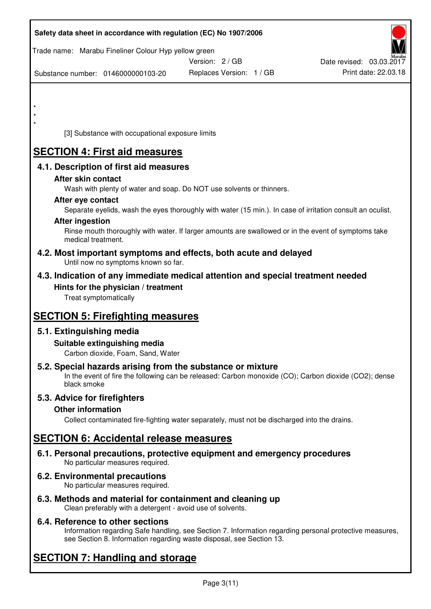| Safety data sheet in accordance with regulation (EC) No 1907/2006                                                                                                   |                          |                          |
|---------------------------------------------------------------------------------------------------------------------------------------------------------------------|--------------------------|--------------------------|
| Trade name: Marabu Fineliner Colour Hyp yellow green                                                                                                                |                          |                          |
|                                                                                                                                                                     | Version: 2 / GB          | Date revised: 03.03.2017 |
| Substance number: 0146000000103-20                                                                                                                                  | Replaces Version: 1 / GB | Print date: 22.03.18     |
|                                                                                                                                                                     |                          |                          |
| $\star$                                                                                                                                                             |                          |                          |
| $\star$                                                                                                                                                             |                          |                          |
| $\star$<br>[3] Substance with occupational exposure limits                                                                                                          |                          |                          |
| <b>SECTION 4: First aid measures</b>                                                                                                                                |                          |                          |
| 4.1. Description of first aid measures                                                                                                                              |                          |                          |
| After skin contact                                                                                                                                                  |                          |                          |
| Wash with plenty of water and soap. Do NOT use solvents or thinners.                                                                                                |                          |                          |
| After eye contact                                                                                                                                                   |                          |                          |
| Separate eyelids, wash the eyes thoroughly with water (15 min.). In case of irritation consult an oculist.                                                          |                          |                          |
| <b>After ingestion</b><br>Rinse mouth thoroughly with water. If larger amounts are swallowed or in the event of symptoms take                                       |                          |                          |
| medical treatment.                                                                                                                                                  |                          |                          |
| 4.2. Most important symptoms and effects, both acute and delayed<br>Until now no symptoms known so far.                                                             |                          |                          |
| 4.3. Indication of any immediate medical attention and special treatment needed                                                                                     |                          |                          |
| Hints for the physician / treatment                                                                                                                                 |                          |                          |
| Treat symptomatically                                                                                                                                               |                          |                          |
| <b>SECTION 5: Firefighting measures</b>                                                                                                                             |                          |                          |
| 5.1. Extinguishing media                                                                                                                                            |                          |                          |
| Suitable extinguishing media<br>Carbon dioxide, Foam, Sand, Water                                                                                                   |                          |                          |
| 5.2. Special hazards arising from the substance or mixture<br>In the event of fire the following can be released: Carbon monoxide (CO); Carbon dioxide (CO2); dense |                          |                          |
| black smoke                                                                                                                                                         |                          |                          |
| 5.3. Advice for firefighters                                                                                                                                        |                          |                          |
| <b>Other information</b>                                                                                                                                            |                          |                          |
| Collect contaminated fire-fighting water separately, must not be discharged into the drains.                                                                        |                          |                          |
| <b>SECTION 6: Accidental release measures</b>                                                                                                                       |                          |                          |
| 6.1. Personal precautions, protective equipment and emergency procedures<br>No particular measures required.                                                        |                          |                          |
| <b>6.2. Environmental precautions</b><br>No particular measures required.                                                                                           |                          |                          |
| 6.3. Methods and material for containment and cleaning up                                                                                                           |                          |                          |

Clean preferably with a detergent - avoid use of solvents.

## **6.4. Reference to other sections**

Information regarding Safe handling, see Section 7. Information regarding personal protective measures, see Section 8. Information regarding waste disposal, see Section 13.

# **SECTION 7: Handling and storage**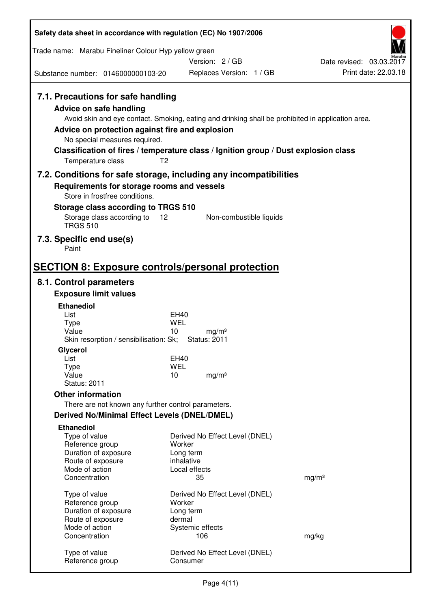| Safety data sheet in accordance with regulation (EC) No 1907/2006                                        |                           |                                |                          |
|----------------------------------------------------------------------------------------------------------|---------------------------|--------------------------------|--------------------------|
| Trade name: Marabu Fineliner Colour Hyp yellow green                                                     |                           |                                |                          |
|                                                                                                          |                           | Version: 2 / GB                | Date revised: 03.03.2017 |
| Substance number: 0146000000103-20                                                                       |                           | Replaces Version: 1 / GB       | Print date: 22.03.18     |
| 7.1. Precautions for safe handling                                                                       |                           |                                |                          |
| <b>Advice on safe handling</b>                                                                           |                           |                                |                          |
| Avoid skin and eye contact. Smoking, eating and drinking shall be prohibited in application area.        |                           |                                |                          |
| Advice on protection against fire and explosion<br>No special measures required.                         |                           |                                |                          |
| Classification of fires / temperature class / Ignition group / Dust explosion class<br>Temperature class | T <sub>2</sub>            |                                |                          |
| 7.2. Conditions for safe storage, including any incompatibilities                                        |                           |                                |                          |
| Requirements for storage rooms and vessels                                                               |                           |                                |                          |
| Store in frostfree conditions.                                                                           |                           |                                |                          |
| Storage class according to TRGS 510                                                                      |                           |                                |                          |
| Storage class according to<br><b>TRGS 510</b>                                                            | 12                        | Non-combustible liquids        |                          |
| 7.3. Specific end use(s)<br>Paint                                                                        |                           |                                |                          |
| <b>SECTION 8: Exposure controls/personal protection</b>                                                  |                           |                                |                          |
| 8.1. Control parameters                                                                                  |                           |                                |                          |
| <b>Exposure limit values</b>                                                                             |                           |                                |                          |
| <b>Ethanediol</b>                                                                                        |                           |                                |                          |
| List                                                                                                     | EH40                      |                                |                          |
| <b>Type</b>                                                                                              | WEL                       |                                |                          |
| Value<br>Skin resorption / sensibilisation: Sk;                                                          | 10<br><b>Status: 2011</b> | mg/m <sup>3</sup>              |                          |
| Glycerol                                                                                                 |                           |                                |                          |
| List                                                                                                     | EH40                      |                                |                          |
| Type                                                                                                     | <b>WEL</b>                |                                |                          |
| Value<br><b>Status: 2011</b>                                                                             | 10                        | mg/m <sup>3</sup>              |                          |
| <b>Other information</b>                                                                                 |                           |                                |                          |
| There are not known any further control parameters.                                                      |                           |                                |                          |
| Derived No/Minimal Effect Levels (DNEL/DMEL)                                                             |                           |                                |                          |
| <b>Ethanediol</b>                                                                                        |                           |                                |                          |
| Type of value                                                                                            |                           | Derived No Effect Level (DNEL) |                          |
| Reference group                                                                                          | Worker                    |                                |                          |
| Duration of exposure                                                                                     | Long term                 |                                |                          |
| Route of exposure<br>Mode of action                                                                      | inhalative                |                                |                          |
|                                                                                                          |                           |                                |                          |
|                                                                                                          | Local effects             |                                |                          |
| Concentration                                                                                            | 35                        |                                | mg/m <sup>3</sup>        |
| Type of value                                                                                            |                           | Derived No Effect Level (DNEL) |                          |
| Reference group                                                                                          | Worker                    |                                |                          |
| Duration of exposure<br>Route of exposure                                                                | Long term<br>dermal       |                                |                          |
| Mode of action                                                                                           | Systemic effects          |                                |                          |
| Concentration                                                                                            | 106                       |                                | mg/kg                    |
| Type of value                                                                                            |                           | Derived No Effect Level (DNEL) |                          |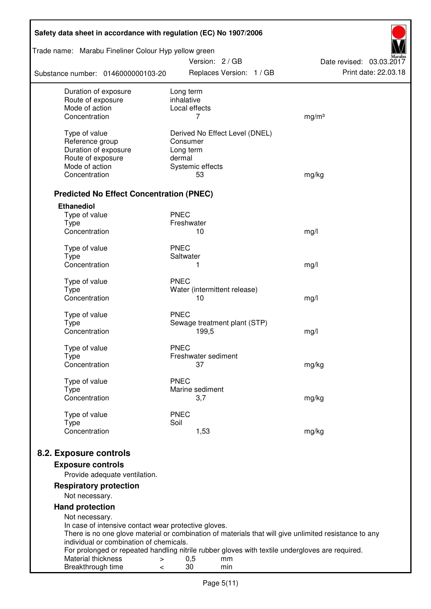| Safety data sheet in accordance with regulation (EC) No 1907/2006                                                                                |                         |                                |                          |
|--------------------------------------------------------------------------------------------------------------------------------------------------|-------------------------|--------------------------------|--------------------------|
| Trade name: Marabu Fineliner Colour Hyp yellow green                                                                                             |                         | Version: 2/GB                  | Date revised: 03.03.2017 |
| Substance number: 0146000000103-20                                                                                                               |                         | Replaces Version: 1 / GB       | Print date: 22.03.18     |
| Duration of exposure<br>Route of exposure                                                                                                        | Long term<br>inhalative |                                |                          |
| Mode of action                                                                                                                                   | Local effects           |                                |                          |
| Concentration                                                                                                                                    | 7                       |                                | mg/m <sup>3</sup>        |
| Type of value                                                                                                                                    |                         | Derived No Effect Level (DNEL) |                          |
| Reference group                                                                                                                                  | Consumer                |                                |                          |
| Duration of exposure                                                                                                                             | Long term               |                                |                          |
| Route of exposure                                                                                                                                | dermal                  |                                |                          |
| Mode of action                                                                                                                                   | Systemic effects        |                                |                          |
| Concentration                                                                                                                                    | 53                      |                                | mg/kg                    |
| <b>Predicted No Effect Concentration (PNEC)</b>                                                                                                  |                         |                                |                          |
| <b>Ethanediol</b>                                                                                                                                |                         |                                |                          |
| Type of value                                                                                                                                    | <b>PNEC</b>             |                                |                          |
| <b>Type</b><br>Concentration                                                                                                                     | Freshwater<br>10        |                                | mg/l                     |
|                                                                                                                                                  |                         |                                |                          |
| Type of value                                                                                                                                    | <b>PNEC</b>             |                                |                          |
| <b>Type</b>                                                                                                                                      | Saltwater               |                                |                          |
| Concentration                                                                                                                                    | 1                       |                                | mg/l                     |
| Type of value                                                                                                                                    | <b>PNEC</b>             |                                |                          |
| <b>Type</b>                                                                                                                                      |                         | Water (intermittent release)   |                          |
| Concentration                                                                                                                                    | 10                      |                                | mg/l                     |
| Type of value                                                                                                                                    | <b>PNEC</b>             |                                |                          |
| <b>Type</b>                                                                                                                                      |                         | Sewage treatment plant (STP)   |                          |
| Concentration                                                                                                                                    |                         | 199,5                          | mg/l                     |
| Type of value                                                                                                                                    | <b>PNEC</b>             |                                |                          |
| Type                                                                                                                                             |                         | Freshwater sediment            |                          |
| Concentration                                                                                                                                    | 37                      |                                | mg/kg                    |
| Type of value                                                                                                                                    | <b>PNEC</b>             |                                |                          |
| Type                                                                                                                                             | Marine sediment         |                                |                          |
| Concentration                                                                                                                                    |                         | 3,7                            | mg/kg                    |
|                                                                                                                                                  | <b>PNEC</b>             |                                |                          |
| Type of value<br><b>Type</b>                                                                                                                     | Soil                    |                                |                          |
| Concentration                                                                                                                                    |                         | 1,53                           | mg/kg                    |
|                                                                                                                                                  |                         |                                |                          |
| 8.2. Exposure controls                                                                                                                           |                         |                                |                          |
| <b>Exposure controls</b><br>Provide adequate ventilation.                                                                                        |                         |                                |                          |
| <b>Respiratory protection</b>                                                                                                                    |                         |                                |                          |
| Not necessary.                                                                                                                                   |                         |                                |                          |
| <b>Hand protection</b>                                                                                                                           |                         |                                |                          |
| Not necessary.                                                                                                                                   |                         |                                |                          |
| In case of intensive contact wear protective gloves.                                                                                             |                         |                                |                          |
| There is no one glove material or combination of materials that will give unlimited resistance to any<br>individual or combination of chemicals. |                         |                                |                          |
| For prolonged or repeated handling nitrile rubber gloves with textile undergloves are required.                                                  |                         |                                |                          |
| Material thickness<br>$\, > \,$                                                                                                                  | 0,5                     | mm                             |                          |
| Breakthrough time<br>$\,<\,$                                                                                                                     | 30                      | min                            |                          |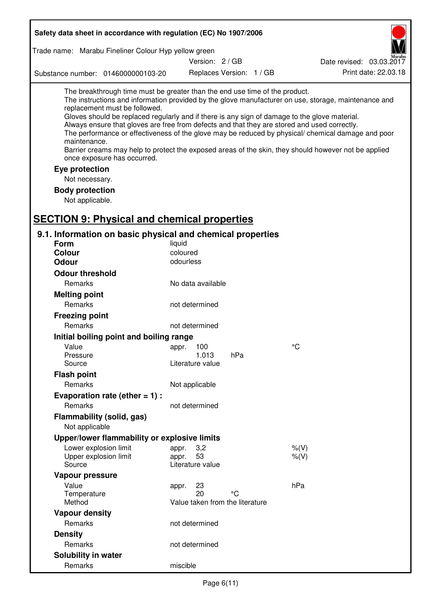| Safety data sheet in accordance with regulation (EC) No 1907/2006                                                                                             |                                                                             |                                 |     |                 |                                                                                                                                                                                                                                                                                                                                                                                                                                                                                                                     |                      |
|---------------------------------------------------------------------------------------------------------------------------------------------------------------|-----------------------------------------------------------------------------|---------------------------------|-----|-----------------|---------------------------------------------------------------------------------------------------------------------------------------------------------------------------------------------------------------------------------------------------------------------------------------------------------------------------------------------------------------------------------------------------------------------------------------------------------------------------------------------------------------------|----------------------|
| Trade name: Marabu Fineliner Colour Hyp yellow green                                                                                                          |                                                                             |                                 |     |                 |                                                                                                                                                                                                                                                                                                                                                                                                                                                                                                                     |                      |
|                                                                                                                                                               |                                                                             | Version: 2 / GB                 |     |                 | Date revised: 03.03.2017                                                                                                                                                                                                                                                                                                                                                                                                                                                                                            |                      |
| Substance number: 0146000000103-20                                                                                                                            |                                                                             | Replaces Version: 1 / GB        |     |                 |                                                                                                                                                                                                                                                                                                                                                                                                                                                                                                                     | Print date: 22.03.18 |
| replacement must be followed.<br>maintenance.<br>once exposure has occurred.<br>Eye protection<br>Not necessary.<br><b>Body protection</b><br>Not applicable. | The breakthrough time must be greater than the end use time of the product. |                                 |     |                 | The instructions and information provided by the glove manufacturer on use, storage, maintenance and<br>Gloves should be replaced regularly and if there is any sign of damage to the glove material.<br>Always ensure that gloves are free from defects and that they are stored and used correctly.<br>The performance or effectiveness of the glove may be reduced by physical/ chemical damage and poor<br>Barrier creams may help to protect the exposed areas of the skin, they should however not be applied |                      |
| <b>SECTION 9: Physical and chemical properties</b>                                                                                                            |                                                                             |                                 |     |                 |                                                                                                                                                                                                                                                                                                                                                                                                                                                                                                                     |                      |
| 9.1. Information on basic physical and chemical properties<br><b>Form</b>                                                                                     | liquid                                                                      |                                 |     |                 |                                                                                                                                                                                                                                                                                                                                                                                                                                                                                                                     |                      |
| <b>Colour</b>                                                                                                                                                 | coloured                                                                    |                                 |     |                 |                                                                                                                                                                                                                                                                                                                                                                                                                                                                                                                     |                      |
| Odour                                                                                                                                                         |                                                                             | odourless                       |     |                 |                                                                                                                                                                                                                                                                                                                                                                                                                                                                                                                     |                      |
| <b>Odour threshold</b>                                                                                                                                        |                                                                             |                                 |     |                 |                                                                                                                                                                                                                                                                                                                                                                                                                                                                                                                     |                      |
| Remarks                                                                                                                                                       |                                                                             | No data available               |     |                 |                                                                                                                                                                                                                                                                                                                                                                                                                                                                                                                     |                      |
| <b>Melting point</b>                                                                                                                                          |                                                                             |                                 |     |                 |                                                                                                                                                                                                                                                                                                                                                                                                                                                                                                                     |                      |
| Remarks                                                                                                                                                       |                                                                             | not determined                  |     |                 |                                                                                                                                                                                                                                                                                                                                                                                                                                                                                                                     |                      |
| <b>Freezing point</b>                                                                                                                                         |                                                                             |                                 |     |                 |                                                                                                                                                                                                                                                                                                                                                                                                                                                                                                                     |                      |
| Remarks                                                                                                                                                       |                                                                             | not determined                  |     |                 |                                                                                                                                                                                                                                                                                                                                                                                                                                                                                                                     |                      |
| Initial boiling point and boiling range                                                                                                                       |                                                                             |                                 |     |                 |                                                                                                                                                                                                                                                                                                                                                                                                                                                                                                                     |                      |
| Value                                                                                                                                                         | appr.                                                                       | 100                             |     | $\rm ^{\circ}C$ |                                                                                                                                                                                                                                                                                                                                                                                                                                                                                                                     |                      |
| Pressure                                                                                                                                                      |                                                                             | 1.013                           | hPa |                 |                                                                                                                                                                                                                                                                                                                                                                                                                                                                                                                     |                      |
| Source                                                                                                                                                        |                                                                             | Literature value                |     |                 |                                                                                                                                                                                                                                                                                                                                                                                                                                                                                                                     |                      |
| <b>Flash point</b>                                                                                                                                            |                                                                             |                                 |     |                 |                                                                                                                                                                                                                                                                                                                                                                                                                                                                                                                     |                      |
| Remarks                                                                                                                                                       |                                                                             | Not applicable                  |     |                 |                                                                                                                                                                                                                                                                                                                                                                                                                                                                                                                     |                      |
| Evaporation rate (ether $= 1$ ) :                                                                                                                             |                                                                             |                                 |     |                 |                                                                                                                                                                                                                                                                                                                                                                                                                                                                                                                     |                      |
| Remarks                                                                                                                                                       |                                                                             | not determined                  |     |                 |                                                                                                                                                                                                                                                                                                                                                                                                                                                                                                                     |                      |
| Flammability (solid, gas)<br>Not applicable                                                                                                                   |                                                                             |                                 |     |                 |                                                                                                                                                                                                                                                                                                                                                                                                                                                                                                                     |                      |
| Upper/lower flammability or explosive limits                                                                                                                  |                                                                             |                                 |     |                 |                                                                                                                                                                                                                                                                                                                                                                                                                                                                                                                     |                      |
| Lower explosion limit                                                                                                                                         | appr.                                                                       | 3,2                             |     |                 | $%$ $(V)$                                                                                                                                                                                                                                                                                                                                                                                                                                                                                                           |                      |
| Upper explosion limit<br>Source                                                                                                                               | appr.                                                                       | 53<br>Literature value          |     |                 | $%$ (V)                                                                                                                                                                                                                                                                                                                                                                                                                                                                                                             |                      |
|                                                                                                                                                               |                                                                             |                                 |     |                 |                                                                                                                                                                                                                                                                                                                                                                                                                                                                                                                     |                      |
| Vapour pressure<br>Value                                                                                                                                      | appr.                                                                       | 23                              |     |                 | hPa                                                                                                                                                                                                                                                                                                                                                                                                                                                                                                                 |                      |
| Temperature                                                                                                                                                   |                                                                             | 20                              | °C  |                 |                                                                                                                                                                                                                                                                                                                                                                                                                                                                                                                     |                      |
| Method                                                                                                                                                        |                                                                             | Value taken from the literature |     |                 |                                                                                                                                                                                                                                                                                                                                                                                                                                                                                                                     |                      |
| <b>Vapour density</b>                                                                                                                                         |                                                                             |                                 |     |                 |                                                                                                                                                                                                                                                                                                                                                                                                                                                                                                                     |                      |
| Remarks                                                                                                                                                       |                                                                             | not determined                  |     |                 |                                                                                                                                                                                                                                                                                                                                                                                                                                                                                                                     |                      |
| <b>Density</b>                                                                                                                                                |                                                                             |                                 |     |                 |                                                                                                                                                                                                                                                                                                                                                                                                                                                                                                                     |                      |
| Remarks                                                                                                                                                       |                                                                             | not determined                  |     |                 |                                                                                                                                                                                                                                                                                                                                                                                                                                                                                                                     |                      |
| Solubility in water                                                                                                                                           |                                                                             |                                 |     |                 |                                                                                                                                                                                                                                                                                                                                                                                                                                                                                                                     |                      |
| Remarks                                                                                                                                                       | miscible                                                                    |                                 |     |                 |                                                                                                                                                                                                                                                                                                                                                                                                                                                                                                                     |                      |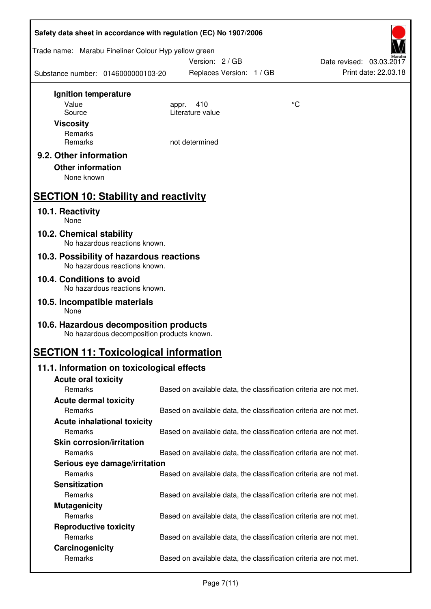| Safety data sheet in accordance with regulation (EC) No 1907/2006                    |                                                                   |                 |                          |
|--------------------------------------------------------------------------------------|-------------------------------------------------------------------|-----------------|--------------------------|
| Trade name: Marabu Fineliner Colour Hyp yellow green                                 | Version: 2 / GB                                                   |                 | Date revised: 03.03.2017 |
| Substance number: 0146000000103-20                                                   | Replaces Version: 1 / GB                                          |                 | Print date: 22.03.18     |
| Ignition temperature                                                                 |                                                                   |                 |                          |
| Value                                                                                | 410<br>appr.                                                      | $\rm ^{\circ}C$ |                          |
| Source                                                                               | Literature value                                                  |                 |                          |
| <b>Viscosity</b>                                                                     |                                                                   |                 |                          |
| Remarks                                                                              |                                                                   |                 |                          |
| Remarks                                                                              | not determined                                                    |                 |                          |
| 9.2. Other information                                                               |                                                                   |                 |                          |
| <b>Other information</b>                                                             |                                                                   |                 |                          |
| None known                                                                           |                                                                   |                 |                          |
|                                                                                      |                                                                   |                 |                          |
| <b>SECTION 10: Stability and reactivity</b>                                          |                                                                   |                 |                          |
| 10.1. Reactivity<br>None                                                             |                                                                   |                 |                          |
| 10.2. Chemical stability<br>No hazardous reactions known.                            |                                                                   |                 |                          |
| 10.3. Possibility of hazardous reactions<br>No hazardous reactions known.            |                                                                   |                 |                          |
| 10.4. Conditions to avoid                                                            |                                                                   |                 |                          |
| No hazardous reactions known.                                                        |                                                                   |                 |                          |
| 10.5. Incompatible materials<br>None                                                 |                                                                   |                 |                          |
| 10.6. Hazardous decomposition products<br>No hazardous decomposition products known. |                                                                   |                 |                          |
| <b>SECTION 11: Toxicological information</b>                                         |                                                                   |                 |                          |
| 11.1. Information on toxicological effects                                           |                                                                   |                 |                          |
| <b>Acute oral toxicity</b>                                                           |                                                                   |                 |                          |
| Remarks                                                                              | Based on available data, the classification criteria are not met. |                 |                          |
| <b>Acute dermal toxicity</b>                                                         |                                                                   |                 |                          |
| Remarks                                                                              | Based on available data, the classification criteria are not met. |                 |                          |
| <b>Acute inhalational toxicity</b>                                                   |                                                                   |                 |                          |
| Remarks                                                                              | Based on available data, the classification criteria are not met. |                 |                          |
| <b>Skin corrosion/irritation</b>                                                     |                                                                   |                 |                          |
| Remarks                                                                              | Based on available data, the classification criteria are not met. |                 |                          |
| Serious eye damage/irritation                                                        |                                                                   |                 |                          |
| Remarks                                                                              | Based on available data, the classification criteria are not met. |                 |                          |
| <b>Sensitization</b>                                                                 |                                                                   |                 |                          |
| Remarks                                                                              | Based on available data, the classification criteria are not met. |                 |                          |
| <b>Mutagenicity</b>                                                                  |                                                                   |                 |                          |
| Remarks                                                                              | Based on available data, the classification criteria are not met. |                 |                          |
| <b>Reproductive toxicity</b>                                                         |                                                                   |                 |                          |
| Remarks                                                                              | Based on available data, the classification criteria are not met. |                 |                          |
| Carcinogenicity                                                                      |                                                                   |                 |                          |
| Remarks                                                                              | Based on available data, the classification criteria are not met. |                 |                          |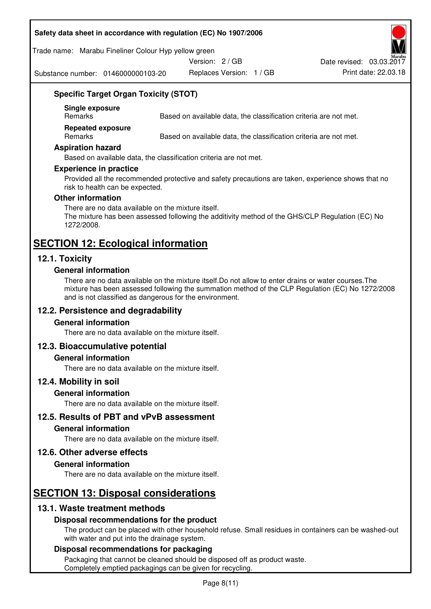#### **Safety data sheet in accordance with regulation (EC) No 1907/2006**

#### Trade name: Marabu Fineliner Colour Hyp yellow green

Version: 2 / GB

Substance number: 0146000000103-20

Replaces Version: 1 / GB Print date: 22.03.18 Date revised: 03.03.2017

## **Specific Target Organ Toxicity (STOT)**

**Single exposure** 

Based on available data, the classification criteria are not met.

**Repeated exposure** 

Remarks Based on available data, the classification criteria are not met.

#### **Aspiration hazard**

Based on available data, the classification criteria are not met.

#### **Experience in practice**

Provided all the recommended protective and safety precautions are taken, experience shows that no risk to health can be expected.

#### **Other information**

There are no data available on the mixture itself. The mixture has been assessed following the additivity method of the GHS/CLP Regulation (EC) No 1272/2008.

## **SECTION 12: Ecological information**

## **12.1. Toxicity**

#### **General information**

There are no data available on the mixture itself.Do not allow to enter drains or water courses.The mixture has been assessed following the summation method of the CLP Regulation (EC) No 1272/2008 and is not classified as dangerous for the environment.

## **12.2. Persistence and degradability**

#### **General information**

There are no data available on the mixture itself.

#### **12.3. Bioaccumulative potential**

#### **General information**

There are no data available on the mixture itself.

#### **12.4. Mobility in soil**

#### **General information**

There are no data available on the mixture itself.

**12.5. Results of PBT and vPvB assessment** 

#### **General information**

There are no data available on the mixture itself.

#### **12.6. Other adverse effects**

#### **General information**

There are no data available on the mixture itself.

# **SECTION 13: Disposal considerations**

## **13.1. Waste treatment methods**

#### **Disposal recommendations for the product**

The product can be placed with other household refuse. Small residues in containers can be washed-out with water and put into the drainage system.

#### **Disposal recommendations for packaging**

Packaging that cannot be cleaned should be disposed off as product waste. Completely emptied packagings can be given for recycling.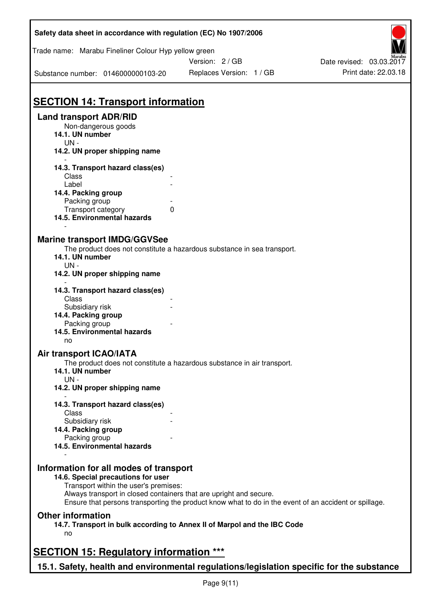| Safety data sheet in accordance with regulation (EC) No 1907/2006                                                     |                                                                                                       |                          |
|-----------------------------------------------------------------------------------------------------------------------|-------------------------------------------------------------------------------------------------------|--------------------------|
| Trade name: Marabu Fineliner Colour Hyp yellow green                                                                  |                                                                                                       |                          |
|                                                                                                                       | Version: 2 / GB                                                                                       | Date revised: 03.03.2017 |
| Substance number: 0146000000103-20                                                                                    | Replaces Version: 1 / GB                                                                              | Print date: 22.03.18     |
| <b>SECTION 14: Transport information</b>                                                                              |                                                                                                       |                          |
| <b>Land transport ADR/RID</b>                                                                                         |                                                                                                       |                          |
| Non-dangerous goods<br>14.1. UN number<br>$UN -$                                                                      |                                                                                                       |                          |
| 14.2. UN proper shipping name                                                                                         |                                                                                                       |                          |
| 14.3. Transport hazard class(es)                                                                                      |                                                                                                       |                          |
| <b>Class</b><br>Label                                                                                                 |                                                                                                       |                          |
| 14.4. Packing group                                                                                                   |                                                                                                       |                          |
| Packing group                                                                                                         |                                                                                                       |                          |
|                                                                                                                       | 0                                                                                                     |                          |
| Transport category<br>14.5. Environmental hazards                                                                     |                                                                                                       |                          |
| <b>Marine transport IMDG/GGVSee</b><br>14.1. UN number<br>$UN -$<br>14.2. UN proper shipping name                     | The product does not constitute a hazardous substance in sea transport.                               |                          |
| 14.3. Transport hazard class(es)                                                                                      |                                                                                                       |                          |
| Class                                                                                                                 |                                                                                                       |                          |
| Subsidiary risk                                                                                                       |                                                                                                       |                          |
| 14.4. Packing group                                                                                                   |                                                                                                       |                          |
| Packing group                                                                                                         |                                                                                                       |                          |
| 14.5. Environmental hazards<br>no                                                                                     |                                                                                                       |                          |
| Air transport ICAO/IATA                                                                                               |                                                                                                       |                          |
| 14.1. UN number<br>$UN -$                                                                                             | The product does not constitute a hazardous substance in air transport.                               |                          |
| 14.2. UN proper shipping name                                                                                         |                                                                                                       |                          |
| 14.3. Transport hazard class(es)                                                                                      |                                                                                                       |                          |
| Class                                                                                                                 |                                                                                                       |                          |
| Subsidiary risk                                                                                                       |                                                                                                       |                          |
| 14.4. Packing group                                                                                                   |                                                                                                       |                          |
| Packing group<br>14.5. Environmental hazards                                                                          |                                                                                                       |                          |
| Information for all modes of transport<br>14.6. Special precautions for user<br>Transport within the user's premises: | Always transport in closed containers that are upright and secure.                                    |                          |
|                                                                                                                       | Ensure that persons transporting the product know what to do in the event of an accident or spillage. |                          |
| <b>Other information</b>                                                                                              |                                                                                                       |                          |
| no                                                                                                                    | 14.7. Transport in bulk according to Annex II of Marpol and the IBC Code                              |                          |
|                                                                                                                       |                                                                                                       |                          |
| <b>SECTION 15: Regulatory information ***</b>                                                                         |                                                                                                       |                          |
| 15.1. Safety, health and environmental regulations/legislation specific for the substance                             |                                                                                                       |                          |

ī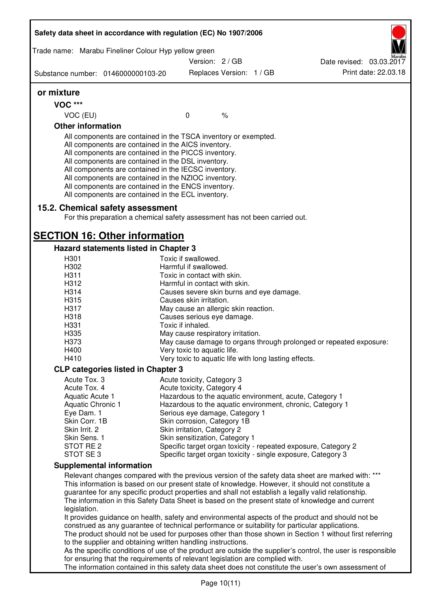| Safety data sheet in accordance with regulation (EC) No 1907/2006                                                                                                                                                                                                                                                                                                                                                                                                 |                                                            |      |                                                                                                                                                                                                         |
|-------------------------------------------------------------------------------------------------------------------------------------------------------------------------------------------------------------------------------------------------------------------------------------------------------------------------------------------------------------------------------------------------------------------------------------------------------------------|------------------------------------------------------------|------|---------------------------------------------------------------------------------------------------------------------------------------------------------------------------------------------------------|
| Trade name: Marabu Fineliner Colour Hyp yellow green                                                                                                                                                                                                                                                                                                                                                                                                              |                                                            |      |                                                                                                                                                                                                         |
| Substance number: 0146000000103-20                                                                                                                                                                                                                                                                                                                                                                                                                                | Version: 2 / GB<br>Replaces Version: 1 / GB                |      | Date revised: 03.03.2017<br>Print date: 22.03.18                                                                                                                                                        |
| or mixture                                                                                                                                                                                                                                                                                                                                                                                                                                                        |                                                            |      |                                                                                                                                                                                                         |
| <b>VOC ***</b>                                                                                                                                                                                                                                                                                                                                                                                                                                                    |                                                            |      |                                                                                                                                                                                                         |
| VOC (EU)                                                                                                                                                                                                                                                                                                                                                                                                                                                          | $\mathbf 0$                                                | $\%$ |                                                                                                                                                                                                         |
| <b>Other information</b>                                                                                                                                                                                                                                                                                                                                                                                                                                          |                                                            |      |                                                                                                                                                                                                         |
| All components are contained in the TSCA inventory or exempted.<br>All components are contained in the AICS inventory.<br>All components are contained in the PICCS inventory.<br>All components are contained in the DSL inventory.<br>All components are contained in the IECSC inventory.<br>All components are contained in the NZIOC inventory.<br>All components are contained in the ENCS inventory.<br>All components are contained in the ECL inventory. |                                                            |      |                                                                                                                                                                                                         |
| 15.2. Chemical safety assessment<br>For this preparation a chemical safety assessment has not been carried out.                                                                                                                                                                                                                                                                                                                                                   |                                                            |      |                                                                                                                                                                                                         |
| <b>SECTION 16: Other information</b>                                                                                                                                                                                                                                                                                                                                                                                                                              |                                                            |      |                                                                                                                                                                                                         |
| Hazard statements listed in Chapter 3                                                                                                                                                                                                                                                                                                                                                                                                                             |                                                            |      |                                                                                                                                                                                                         |
| H301                                                                                                                                                                                                                                                                                                                                                                                                                                                              | Toxic if swallowed.                                        |      |                                                                                                                                                                                                         |
| H302                                                                                                                                                                                                                                                                                                                                                                                                                                                              | Harmful if swallowed.                                      |      |                                                                                                                                                                                                         |
| H311                                                                                                                                                                                                                                                                                                                                                                                                                                                              | Toxic in contact with skin.                                |      |                                                                                                                                                                                                         |
| H312                                                                                                                                                                                                                                                                                                                                                                                                                                                              | Harmful in contact with skin.                              |      |                                                                                                                                                                                                         |
| H314                                                                                                                                                                                                                                                                                                                                                                                                                                                              | Causes severe skin burns and eye damage.                   |      |                                                                                                                                                                                                         |
| H315                                                                                                                                                                                                                                                                                                                                                                                                                                                              | Causes skin irritation.                                    |      |                                                                                                                                                                                                         |
| H317                                                                                                                                                                                                                                                                                                                                                                                                                                                              | May cause an allergic skin reaction.                       |      |                                                                                                                                                                                                         |
| H318                                                                                                                                                                                                                                                                                                                                                                                                                                                              | Causes serious eye damage.                                 |      |                                                                                                                                                                                                         |
| H331                                                                                                                                                                                                                                                                                                                                                                                                                                                              | Toxic if inhaled.                                          |      |                                                                                                                                                                                                         |
| H335                                                                                                                                                                                                                                                                                                                                                                                                                                                              | May cause respiratory irritation.                          |      |                                                                                                                                                                                                         |
| H373                                                                                                                                                                                                                                                                                                                                                                                                                                                              |                                                            |      | May cause damage to organs through prolonged or repeated exposure:                                                                                                                                      |
| H400<br>H410                                                                                                                                                                                                                                                                                                                                                                                                                                                      | Very toxic to aquatic life.                                |      |                                                                                                                                                                                                         |
|                                                                                                                                                                                                                                                                                                                                                                                                                                                                   | Very toxic to aquatic life with long lasting effects.      |      |                                                                                                                                                                                                         |
| <b>CLP categories listed in Chapter 3</b>                                                                                                                                                                                                                                                                                                                                                                                                                         |                                                            |      |                                                                                                                                                                                                         |
| Acute Tox. 3                                                                                                                                                                                                                                                                                                                                                                                                                                                      | Acute toxicity, Category 3                                 |      |                                                                                                                                                                                                         |
| Acute Tox. 4                                                                                                                                                                                                                                                                                                                                                                                                                                                      | Acute toxicity, Category 4                                 |      |                                                                                                                                                                                                         |
| Aquatic Acute 1                                                                                                                                                                                                                                                                                                                                                                                                                                                   |                                                            |      | Hazardous to the aquatic environment, acute, Category 1                                                                                                                                                 |
| Aquatic Chronic 1                                                                                                                                                                                                                                                                                                                                                                                                                                                 |                                                            |      | Hazardous to the aquatic environment, chronic, Category 1                                                                                                                                               |
| Eye Dam. 1<br>Skin Corr. 1B                                                                                                                                                                                                                                                                                                                                                                                                                                       | Serious eye damage, Category 1                             |      |                                                                                                                                                                                                         |
| Skin Irrit. 2                                                                                                                                                                                                                                                                                                                                                                                                                                                     | Skin corrosion, Category 1B<br>Skin irritation, Category 2 |      |                                                                                                                                                                                                         |
| Skin Sens. 1                                                                                                                                                                                                                                                                                                                                                                                                                                                      | Skin sensitization, Category 1                             |      |                                                                                                                                                                                                         |
| STOT RE 2                                                                                                                                                                                                                                                                                                                                                                                                                                                         |                                                            |      | Specific target organ toxicity - repeated exposure, Category 2                                                                                                                                          |
| STOT SE3                                                                                                                                                                                                                                                                                                                                                                                                                                                          |                                                            |      | Specific target organ toxicity - single exposure, Category 3                                                                                                                                            |
| <b>Supplemental information</b>                                                                                                                                                                                                                                                                                                                                                                                                                                   |                                                            |      |                                                                                                                                                                                                         |
|                                                                                                                                                                                                                                                                                                                                                                                                                                                                   |                                                            |      | Relevant changes compared with the previous version of the safety data sheet are marked with: ***                                                                                                       |
|                                                                                                                                                                                                                                                                                                                                                                                                                                                                   |                                                            |      | This information is based on our present state of knowledge. However, it should not constitute a                                                                                                        |
|                                                                                                                                                                                                                                                                                                                                                                                                                                                                   |                                                            |      | guarantee for any specific product properties and shall not establish a legally valid relationship.<br>The information in this Safety Data Sheet is based on the present state of knowledge and current |
| legislation.                                                                                                                                                                                                                                                                                                                                                                                                                                                      |                                                            |      |                                                                                                                                                                                                         |
|                                                                                                                                                                                                                                                                                                                                                                                                                                                                   |                                                            |      | It provides guidance on health, safety and environmental aspects of the product and should not be                                                                                                       |
| construed as any guarantee of technical performance or suitability for particular applications.                                                                                                                                                                                                                                                                                                                                                                   |                                                            |      |                                                                                                                                                                                                         |
|                                                                                                                                                                                                                                                                                                                                                                                                                                                                   |                                                            |      | The product should not be used for purposes other than those shown in Section 1 without first referring                                                                                                 |
| to the supplier and obtaining written handling instructions.                                                                                                                                                                                                                                                                                                                                                                                                      |                                                            |      |                                                                                                                                                                                                         |
| for ensuring that the requirements of relevant legislation are complied with.                                                                                                                                                                                                                                                                                                                                                                                     |                                                            |      | As the specific conditions of use of the product are outside the supplier's control, the user is responsible                                                                                            |
|                                                                                                                                                                                                                                                                                                                                                                                                                                                                   |                                                            |      | The information contained in this safety data sheet does not constitute the user's own assessment of                                                                                                    |